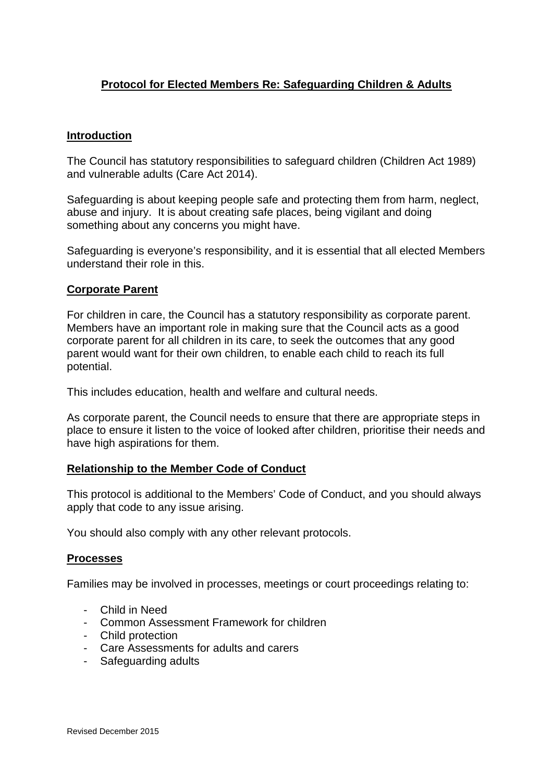# **Protocol for Elected Members Re: Safeguarding Children & Adults**

#### **Introduction**

The Council has statutory responsibilities to safeguard children (Children Act 1989) and vulnerable adults (Care Act 2014).

Safeguarding is about keeping people safe and protecting them from harm, neglect, abuse and injury. It is about creating safe places, being vigilant and doing something about any concerns you might have.

Safeguarding is everyone's responsibility, and it is essential that all elected Members understand their role in this.

#### **Corporate Parent**

For children in care, the Council has a statutory responsibility as corporate parent. Members have an important role in making sure that the Council acts as a good corporate parent for all children in its care, to seek the outcomes that any good parent would want for their own children, to enable each child to reach its full potential.

This includes education, health and welfare and cultural needs.

As corporate parent, the Council needs to ensure that there are appropriate steps in place to ensure it listen to the voice of looked after children, prioritise their needs and have high aspirations for them.

#### **Relationship to the Member Code of Conduct**

This protocol is additional to the Members' Code of Conduct, and you should always apply that code to any issue arising.

You should also comply with any other relevant protocols.

#### **Processes**

Families may be involved in processes, meetings or court proceedings relating to:

- Child in Need
- Common Assessment Framework for children
- Child protection
- Care Assessments for adults and carers
- Safeguarding adults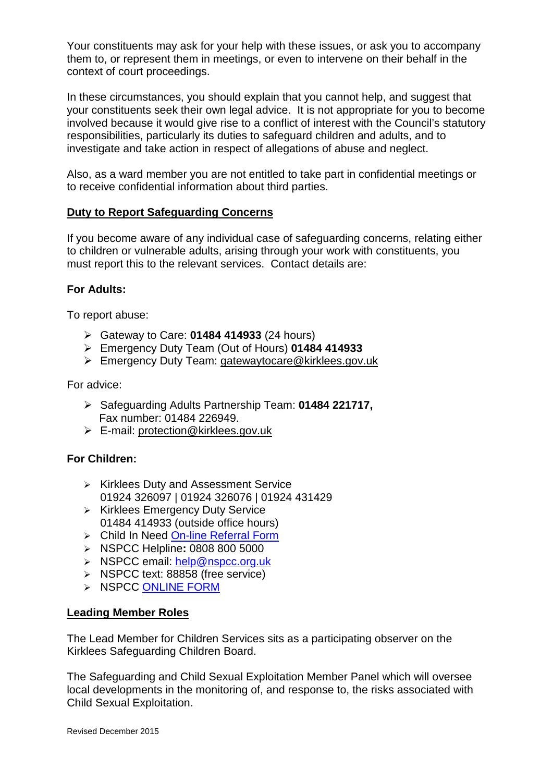Your constituents may ask for your help with these issues, or ask you to accompany them to, or represent them in meetings, or even to intervene on their behalf in the context of court proceedings.

In these circumstances, you should explain that you cannot help, and suggest that your constituents seek their own legal advice. It is not appropriate for you to become involved because it would give rise to a conflict of interest with the Council's statutory responsibilities, particularly its duties to safeguard children and adults, and to investigate and take action in respect of allegations of abuse and neglect.

Also, as a ward member you are not entitled to take part in confidential meetings or to receive confidential information about third parties.

### **Duty to Report Safeguarding Concerns**

If you become aware of any individual case of safeguarding concerns, relating either to children or vulnerable adults, arising through your work with constituents, you must report this to the relevant services. Contact details are:

## **For Adults:**

To report abuse:

- Gateway to Care: **01484 414933** (24 hours)
- Emergency Duty Team (Out of Hours) **01484 414933**
- Emergency Duty Team: [gatewaytocare@kirklees.gov.uk](http://www.kirklees.gov.uk/eGov/emailForm/index.asp?mailto=gatewaytocare@kirklees.gov.uk)

For advice:

- Safeguarding Adults Partnership Team: **01484 221717,**  Fax number: 01484 226949.
- E-mail: [protection@kirklees.gov.uk](mailto:protection@kirklees.gov.uk)

### **For Children:**

- $\triangleright$  Kirklees Duty and Assessment Service 01924 326097 | 01924 326076 | 01924 431429
- $\triangleright$  Kirklees Emergency Duty Service 01484 414933 (outside office hours)
- > Child In Need [On-line Referral Form](https://forms.kirklees.gov.uk/af/an/default.aspx/RenderForm/?F.Name=dBzts5a76Tj)
- NSPCC Helpline**:** 0808 800 5000
- > NSPCC email: [help@nspcc.org.uk](mailto:help@nspcc.org.uk)
- $\triangleright$  NSPCC text: 88858 (free service)
- > NSPCC [ONLINE FORM](https://www.nspcc.org.uk/Applications/Forms/HelplineConcern/the-helpline-online-form.aspx)

### **Leading Member Roles**

The Lead Member for Children Services sits as a participating observer on the Kirklees Safeguarding Children Board.

The Safeguarding and Child Sexual Exploitation Member Panel which will oversee local developments in the monitoring of, and response to, the risks associated with Child Sexual Exploitation.